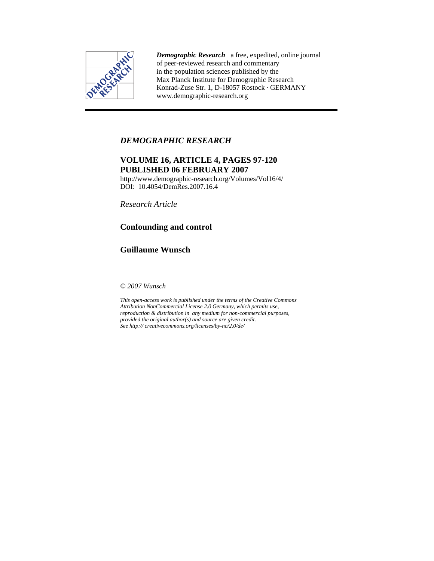

*Demographic Research* a free, expedited, online journal of peer-reviewed research and commentary in the population sciences published by the Max Planck Institute for Demographic Research Konrad-Zuse Str. 1, D-18057 Rostock · GERMANY www.demographic-research.org

# *DEMOGRAPHIC RESEARCH*

# **VOLUME 16, ARTICLE 4, PAGES 97-120 PUBLISHED 06 FEBRUARY 2007**

http://www.demographic-research.org/Volumes/Vol16/4/ DOI: 10.4054/DemRes.2007.16.4

*Research Article* 

# **Confounding and control**

# **Guillaume Wunsch**

*© 2007 Wunsch* 

*This open-access work is published under the terms of the Creative Commons Attribution NonCommercial License 2.0 Germany, which permits use, reproduction & distribution in any medium for non-commercial purposes, provided the original author(s) and source are given credit. See http:// creativecommons.org/licenses/by-nc/2.0/de/*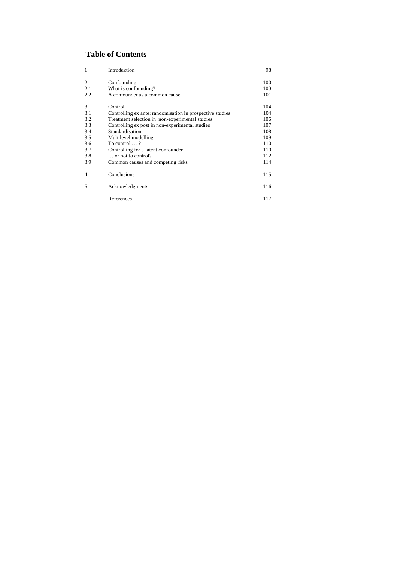# **Table of Contents**

| $\overline{1}$ | Introduction                                              | 98  |
|----------------|-----------------------------------------------------------|-----|
| 2              | Confounding                                               | 100 |
| 2.1            | What is confounding?                                      | 100 |
| 2.2            | A confounder as a common cause                            | 101 |
| 3              | Control                                                   | 104 |
| 3.1            | Controlling ex ante: randomisation in prospective studies | 104 |
| 3.2            | Treatment selection in non-experimental studies           | 106 |
| 3.3            | Controlling ex post in non-experimental studies           | 107 |
| 3.4            | Standardisation                                           | 108 |
| 3.5            | Multilevel modelling                                      | 109 |
| 3.6            | To control $\ldots$ ?                                     | 110 |
| 3.7            | Controlling for a latent confounder                       | 110 |
| 3.8            | $\ldots$ or not to control?                               | 112 |
| 3.9            | Common causes and competing risks                         | 114 |
| 4              | Conclusions                                               | 115 |
| 5              | Acknowledgments                                           | 116 |
|                | References                                                | 117 |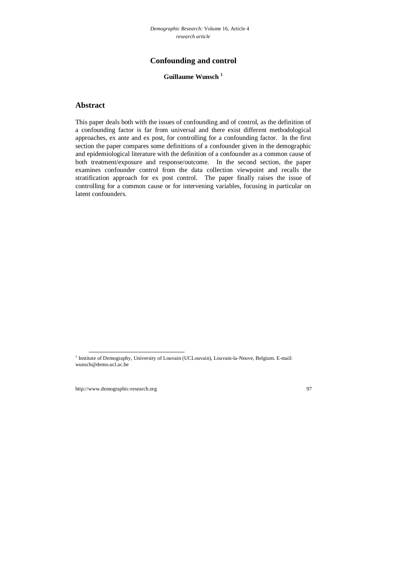# **Confounding and control**

## **Guillaume Wunsch <sup>1</sup>**

## **Abstract**

This paper deals both with the issues of confounding and of control, as the definition of a confounding factor is far from universal and there exist different methodological approaches, ex ante and ex post, for controlling for a confounding factor. In the first section the paper compares some definitions of a confounder given in the demographic and epidemiological literature with the definition of a confounder as a common cause of both treatment/exposure and response/outcome. In the second section, the paper examines confounder control from the data collection viewpoint and recalls the stratification approach for ex post control. The paper finally raises the issue of controlling for a common cause or for intervening variables, focusing in particular on latent confounders.

<sup>1&</sup>lt;br>
Institute of Demography, University of Louvain (UCLouvain), Louvain-la-Neuve, Belgium. E-mail: wunsch@demo.ucl.ac.be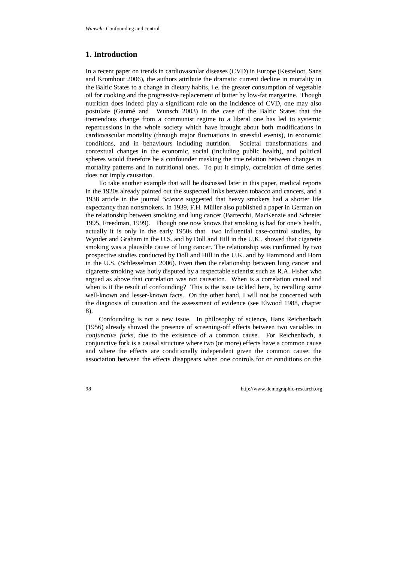## **1. Introduction**

In a recent paper on trends in cardiovascular diseases (CVD) in Europe (Kesteloot, Sans and Kromhout 2006), the authors attribute the dramatic current decline in mortality in the Baltic States to a change in dietary habits, i.e. the greater consumption of vegetable oil for cooking and the progressive replacement of butter by low-fat margarine. Though nutrition does indeed play a significant role on the incidence of CVD, one may also postulate (Gaumé and Wunsch 2003) in the case of the Baltic States that the tremendous change from a communist regime to a liberal one has led to systemic repercussions in the whole society which have brought about both modifications in cardiovascular mortality (through major fluctuations in stressful events), in economic conditions, and in behaviours including nutrition. Societal transformations and contextual changes in the economic, social (including public health), and political spheres would therefore be a confounder masking the true relation between changes in mortality patterns and in nutritional ones. To put it simply, correlation of time series does not imply causation.

To take another example that will be discussed later in this paper, medical reports in the 1920s already pointed out the suspected links between tobacco and cancers, and a 1938 article in the journal *Science* suggested that heavy smokers had a shorter life expectancy than nonsmokers. In 1939, F.H. Müller also published a paper in German on the relationship between smoking and lung cancer (Bartecchi, MacKenzie and Schreier 1995, Freedman, 1999). Though one now knows that smoking is bad for one's health, actually it is only in the early 1950s that two influential case-control studies, by Wynder and Graham in the U.S. and by Doll and Hill in the U.K., showed that cigarette smoking was a plausible cause of lung cancer. The relationship was confirmed by two prospective studies conducted by Doll and Hill in the U.K. and by Hammond and Horn in the U.S. (Schlesselman 2006). Even then the relationship between lung cancer and cigarette smoking was hotly disputed by a respectable scientist such as R.A. Fisher who argued as above that correlation was not causation. When is a correlation causal and when is it the result of confounding? This is the issue tackled here, by recalling some well-known and lesser-known facts. On the other hand, I will not be concerned with the diagnosis of causation and the assessment of evidence (see Elwood 1988, chapter 8).

Confounding is not a new issue. In philosophy of science, Hans Reichenbach (1956) already showed the presence of screening-off effects between two variables in *conjunctive forks*, due to the existence of a common cause. For Reichenbach, a conjunctive fork is a causal structure where two (or more) effects have a common cause and where the effects are conditionally independent given the common cause: the association between the effects disappears when one controls for or conditions on the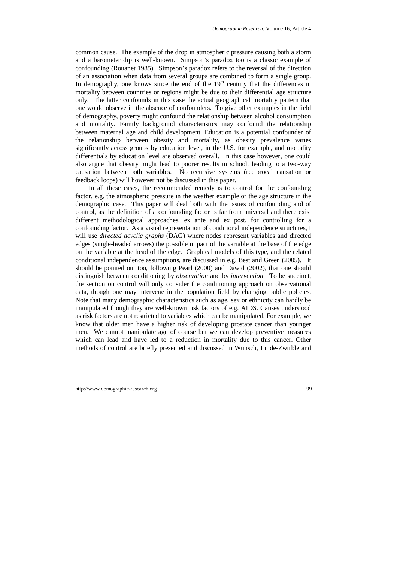common cause. The example of the drop in atmospheric pressure causing both a storm and a barometer dip is well-known. Simpson's paradox too is a classic example of confounding (Rouanet 1985). Simpson's paradox refers to the reversal of the direction of an association when data from several groups are combined to form a single group. In demography, one knows since the end of the  $19<sup>th</sup>$  century that the differences in mortality between countries or regions might be due to their differential age structure only. The latter confounds in this case the actual geographical mortality pattern that one would observe in the absence of confounders. To give other examples in the field of demography, poverty might confound the relationship between alcohol consumption and mortality. Family background characteristics may confound the relationship between maternal age and child development. Education is a potential confounder of the relationship between obesity and mortality, as obesity prevalence varies significantly across groups by education level, in the U.S. for example, and mortality differentials by education level are observed overall. In this case however, one could also argue that obesity might lead to poorer results in school, leading to a two-way causation between both variables. Nonrecursive systems (reciprocal causation or feedback loops) will however not be discussed in this paper.

In all these cases, the recommended remedy is to control for the confounding factor, e.g. the atmospheric pressure in the weather example or the age structure in the demographic case. This paper will deal both with the issues of confounding and of control, as the definition of a confounding factor is far from universal and there exist different methodological approaches, ex ante and ex post, for controlling for a confounding factor. As a visual representation of conditional independence structures, I will use *directed acyclic graphs* (DAG) where nodes represent variables and directed edges (single-headed arrows) the possible impact of the variable at the base of the edge on the variable at the head of the edge. Graphical models of this type, and the related conditional independence assumptions, are discussed in e.g. Best and Green (2005). It should be pointed out too, following Pearl (2000) and Dawid (2002), that one should distinguish between conditioning by *observation* and by *intervention*. To be succinct, the section on control will only consider the conditioning approach on observational data, though one may intervene in the population field by changing public policies. Note that many demographic characteristics such as age, sex or ethnicity can hardly be manipulated though they are well-known risk factors of e.g. AIDS. Causes understood as risk factors are not restricted to variables which can be manipulated. For example, we know that older men have a higher risk of developing prostate cancer than younger men. We cannot manipulate age of course but we can develop preventive measures which can lead and have led to a reduction in mortality due to this cancer. Other methods of control are briefly presented and discussed in Wunsch, Linde-Zwirble and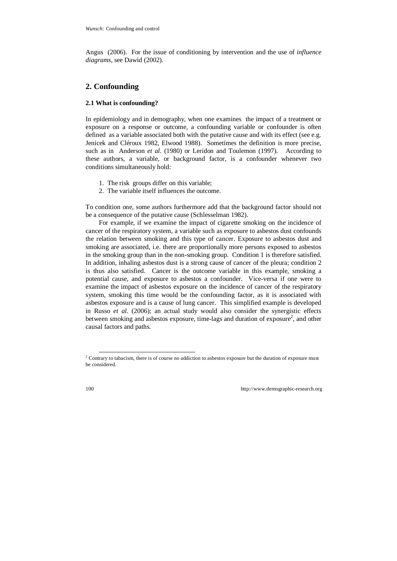Angus (2006). For the issue of conditioning by intervention and the use of *influence diagrams*, see Dawid (2002).

# **2. Confounding**

### **2.1 What is confounding?**

In epidemiology and in demography, when one examines the impact of a treatment or exposure on a response or outcome, a confounding variable or confounder is often defined as a variable associated both with the putative cause and with its effect (see e.g. Jenicek and Cléroux 1982, Elwood 1988). Sometimes the definition is more precise, such as in Anderson *et al*. (1980) or Leridon and Toulemon (1997). According to these authors, a variable, or background factor, is a confounder whenever two conditions simultaneously hold:

- 1. The risk groups differ on this variable;
- 2. The variable itself influences the outcome.

To condition one, some authors furthermore add that the background factor should not be a consequence of the putative cause (Schlesselman 1982).

For example, if we examine the impact of cigarette smoking on the incidence of cancer of the respiratory system, a variable such as exposure to asbestos dust confounds the relation between smoking and this type of cancer. Exposure to asbestos dust and smoking are associated, i.e. there are proportionally more persons exposed to asbestos in the smoking group than in the non-smoking group. Condition 1 is therefore satisfied. In addition, inhaling asbestos dust is a strong cause of cancer of the pleura; condition 2 is thus also satisfied. Cancer is the outcome variable in this example, smoking a potential cause, and exposure to asbestos a confounder. Vice-versa if one were to examine the impact of asbestos exposure on the incidence of cancer of the respiratory system, smoking this time would be the confounding factor, as it is associated with asbestos exposure and is a cause of lung cancer. This simplified example is developed in Russo *et al.* (2006); an actual study would also consider the synergistic effects between smoking and asbestos exposure, time-lags and duration of exposure<sup>2</sup>, and other causal factors and paths.

<sup>&</sup>lt;sup>2</sup> Contrary to tabacism, there is of course no addiction to asbestos exposure but the duration of exposure must be considered.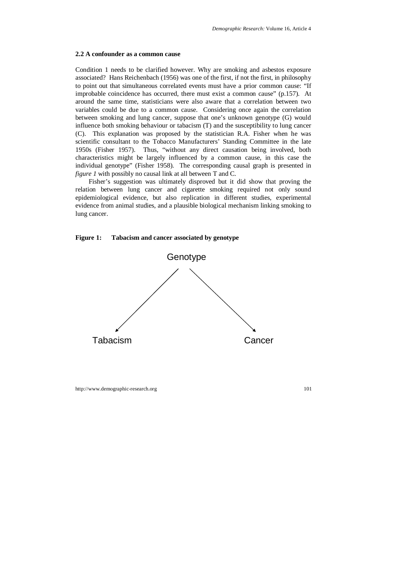#### **2.2 A confounder as a common cause**

Condition 1 needs to be clarified however. Why are smoking and asbestos exposure associated? Hans Reichenbach (1956) was one of the first, if not the first, in philosophy to point out that simultaneous correlated events must have a prior common cause: "If improbable coincidence has occurred, there must exist a common cause" (p.157). At around the same time, statisticians were also aware that a correlation between two variables could be due to a common cause. Considering once again the correlation between smoking and lung cancer, suppose that one's unknown genotype (G) would influence both smoking behaviour or tabacism (T) and the susceptibility to lung cancer (C). This explanation was proposed by the statistician R.A. Fisher when he was scientific consultant to the Tobacco Manufacturers' Standing Committee in the late 1950s (Fisher 1957). Thus, "without any direct causation being involved, both characteristics might be largely influenced by a common cause, in this case the individual genotype" (Fisher 1958). The corresponding causal graph is presented in *figure 1* with possibly no causal link at all between T and C.

Fisher's suggestion was ultimately disproved but it did show that proving the relation between lung cancer and cigarette smoking required not only sound epidemiological evidence, but also replication in different studies, experimental evidence from animal studies, and a plausible biological mechanism linking smoking to lung cancer.

#### **Figure 1: Tabacism and cancer associated by genotype**

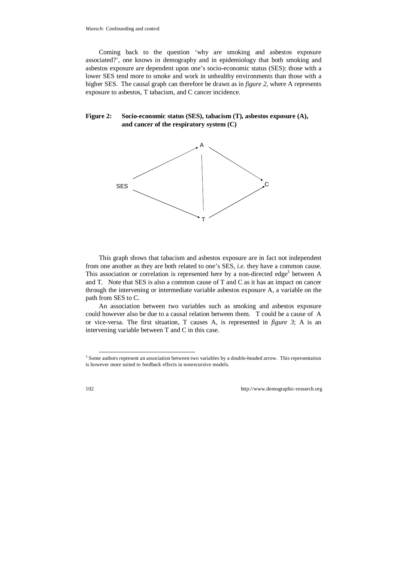Coming back to the question 'why are smoking and asbestos exposure associated?', one knows in demography and in epidemiology that both smoking and asbestos exposure are dependent upon one's socio-economic status (SES): those with a lower SES tend more to smoke and work in unhealthy environments than those with a higher SES. The causal graph can therefore be drawn as in *figure 2*, where A represents exposure to asbestos, T tabacism, and C cancer incidence.

### **Figure 2: Socio-economic status (SES), tabacism (T), asbestos exposure (A), and cancer of the respiratory system (C)**



This graph shows that tabacism and asbestos exposure are in fact not independent from one another as they are both related to one's SES, *i.e.* they have a common cause. This association or correlation is represented here by a non-directed edge<sup>3</sup> between A and T. Note that SES is also a common cause of T and C as it has an impact on cancer through the intervening or intermediate variable asbestos exposure A, a variable on the path from SES to C.

An association between two variables such as smoking and asbestos exposure could however also be due to a causal relation between them. T could be a cause of A or vice-versa. The first situation, T causes A, is represented in *figure 3*; A is an intervening variable between T and C in this case.

<sup>&</sup>lt;sup>3</sup> Some authors represent an association between two variables by a double-headed arrow. This representation is however more suited to feedback effects in nonrecursive models.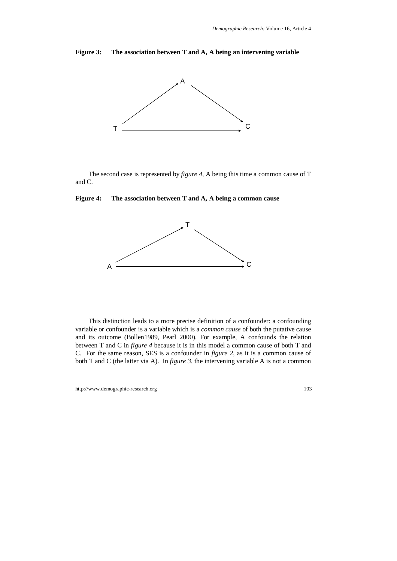#### **Figure 3: The association between T and A, A being an intervening variable**



The second case is represented by *figure 4*, A being this time a common cause of T and C.

#### **Figure 4: The association between T and A, A being a common cause**



This distinction leads to a more precise definition of a confounder: a confounding variable or confounder is a variable which is a *common cause* of both the putative cause and its outcome (Bollen1989, Pearl 2000). For example, A confounds the relation between T and C in *figure 4* because it is in this model a common cause of both T and C. For the same reason, SES is a confounder in *figure 2*, as it is a common cause of both T and C (the latter via A). In *figure 3*, the intervening variable A is not a common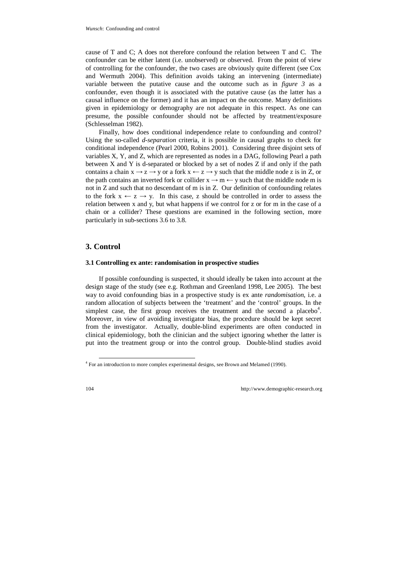cause of T and C; A does not therefore confound the relation between T and C. The confounder can be either latent (i.e. unobserved) or observed. From the point of view of controlling for the confounder, the two cases are obviously quite different (see Cox and Wermuth 2004). This definition avoids taking an intervening (intermediate) variable between the putative cause and the outcome such as in *figure 3* as a confounder, even though it is associated with the putative cause (as the latter has a causal influence on the former) and it has an impact on the outcome. Many definitions given in epidemiology or demography are not adequate in this respect. As one can presume, the possible confounder should not be affected by treatment/exposure (Schlesselman 1982).

Finally, how does conditional independence relate to confounding and control? Using the so-called *d-separation* criteria, it is possible in causal graphs to check for conditional independence (Pearl 2000, Robins 2001). Considering three disjoint sets of variables X, Y, and Z, which are represented as nodes in a DAG, following Pearl a path between X and Y is d-separated or blocked by a set of nodes Z if and only if the path contains a chain  $x \to z \to y$  or a fork  $x \leftarrow z \to y$  such that the middle node z is in Z, or the path contains an inverted fork or collider  $x \rightarrow m \leftarrow y$  such that the middle node m is not in Z and such that no descendant of m is in Z. Our definition of confounding relates to the fork  $x \leftarrow z \rightarrow y$ . In this case, z should be controlled in order to assess the relation between x and y, but what happens if we control for z or for m in the case of a chain or a collider? These questions are examined in the following section, more particularly in sub-sections 3.6 to 3.8.

## **3. Control**

#### **3.1 Controlling ex ante: randomisation in prospective studies**

If possible confounding is suspected, it should ideally be taken into account at the design stage of the study (see e.g. Rothman and Greenland 1998, Lee 2005). The best way to avoid confounding bias in a prospective study is ex ante *randomisation*, i.e. a random allocation of subjects between the 'treatment' and the 'control' groups. In the simplest case, the first group receives the treatment and the second a placebo<sup>4</sup>. Moreover, in view of avoiding investigator bias, the procedure should be kept secret from the investigator. Actually, double-blind experiments are often conducted in clinical epidemiology, both the clinician and the subject ignoring whether the latter is put into the treatment group or into the control group. Double-blind studies avoid

 <sup>4</sup> For an introduction to more complex experimental designs, see Brown and Melamed (1990).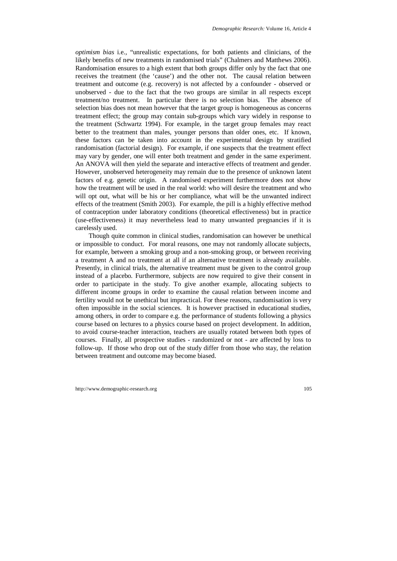*optimism bias* i.e., "unrealistic expectations, for both patients and clinicians, of the likely benefits of new treatments in randomised trials" (Chalmers and Matthews 2006). Randomisation ensures to a high extent that both groups differ only by the fact that one receives the treatment (the 'cause') and the other not. The causal relation between treatment and outcome (e.g. recovery) is not affected by a confounder - observed or unobserved - due to the fact that the two groups are similar in all respects except treatment/no treatment. In particular there is no selection bias. The absence of selection bias does not mean however that the target group is homogeneous as concerns treatment effect; the group may contain sub-groups which vary widely in response to the treatment (Schwartz 1994). For example, in the target group females may react better to the treatment than males, younger persons than older ones, etc. If known, these factors can be taken into account in the experimental design by stratified randomisation (factorial design). For example, if one suspects that the treatment effect may vary by gender, one will enter both treatment and gender in the same experiment. An ANOVA will then yield the separate and interactive effects of treatment and gender. However, unobserved heterogeneity may remain due to the presence of unknown latent factors of e.g. genetic origin. A randomised experiment furthermore does not show how the treatment will be used in the real world: who will desire the treatment and who will opt out, what will be his or her compliance, what will be the unwanted indirect effects of the treatment (Smith 2003). For example, the pill is a highly effective method of contraception under laboratory conditions (theoretical effectiveness) but in practice (use-effectiveness) it may nevertheless lead to many unwanted pregnancies if it is carelessly used.

Though quite common in clinical studies, randomisation can however be unethical or impossible to conduct. For moral reasons, one may not randomly allocate subjects, for example, between a smoking group and a non-smoking group, or between receiving a treatment A and no treatment at all if an alternative treatment is already available. Presently, in clinical trials, the alternative treatment must be given to the control group instead of a placebo. Furthermore, subjects are now required to give their consent in order to participate in the study. To give another example, allocating subjects to different income groups in order to examine the causal relation between income and fertility would not be unethical but impractical. For these reasons, randomisation is very often impossible in the social sciences. It is however practised in educational studies, among others, in order to compare e.g. the performance of students following a physics course based on lectures to a physics course based on project development. In addition, to avoid course-teacher interaction, teachers are usually rotated between both types of courses. Finally, all prospective studies - randomized or not - are affected by loss to follow-up. If those who drop out of the study differ from those who stay, the relation between treatment and outcome may become biased.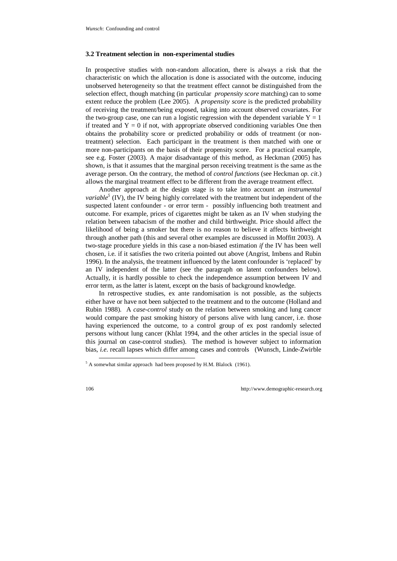#### **3.2 Treatment selection in non-experimental studies**

In prospective studies with non-random allocation, there is always a risk that the characteristic on which the allocation is done is associated with the outcome, inducing unobserved heterogeneity so that the treatment effect cannot be distinguished from the selection effect, though matching (in particular *propensity score* matching) can to some extent reduce the problem (Lee 2005). A *propensity score* is the predicted probability of receiving the treatment/being exposed, taking into account observed covariates. For the two-group case, one can run a logistic regression with the dependent variable  $Y = 1$ if treated and  $Y = 0$  if not, with appropriate observed conditioning variables One then obtains the probability score or predicted probability or odds of treatment (or nontreatment) selection. Each participant in the treatment is then matched with one or more non-participants on the basis of their propensity score. For a practical example, see e.g. Foster (2003). A major disadvantage of this method, as Heckman (2005) has shown, is that it assumes that the marginal person receiving treatment is the same as the average person. On the contrary, the method of *control functions* (see Heckman *op. cit*.) allows the marginal treatment effect to be different from the average treatment effect.

Another approach at the design stage is to take into account an *instrumental*  variable<sup>5</sup> (IV), the IV being highly correlated with the treatment but independent of the suspected latent confounder - or error term - possibly influencing both treatment and outcome. For example, prices of cigarettes might be taken as an IV when studying the relation between tabacism of the mother and child birthweight. Price should affect the likelihood of being a smoker but there is no reason to believe it affects birthweight through another path (this and several other examples are discussed in Moffitt 2003). A two-stage procedure yields in this case a non-biased estimation *if* the IV has been well chosen, i.e. if it satisfies the two criteria pointed out above (Angrist, Imbens and Rubin 1996). In the analysis, the treatment influenced by the latent confounder is 'replaced' by an IV independent of the latter (see the paragraph on latent confounders below). Actually, it is hardly possible to check the independence assumption between IV and error term, as the latter is latent, except on the basis of background knowledge.

In retrospective studies, ex ante randomisation is not possible, as the subjects either have or have not been subjected to the treatment and to the outcome (Holland and Rubin 1988). A *case-control* study on the relation between smoking and lung cancer would compare the past smoking history of persons alive with lung cancer, i.e. those having experienced the outcome, to a control group of ex post randomly selected persons without lung cancer (Khlat 1994, and the other articles in the special issue of this journal on case-control studies). The method is however subject to information bias, *i.e*. recall lapses which differ among cases and controls (Wunsch, Linde-Zwirble

<sup>&</sup>lt;sup>5</sup> A somewhat similar approach had been proposed by H.M. Blalock (1961).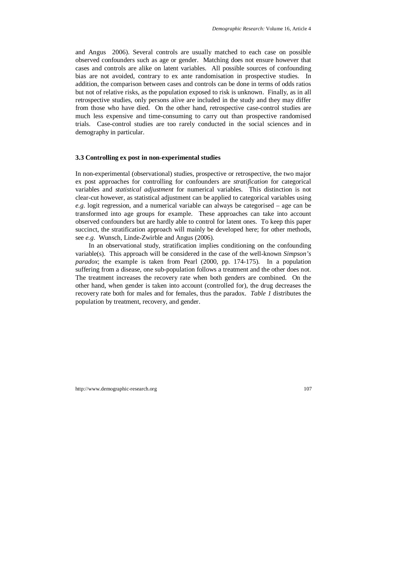and Angus 2006). Several controls are usually matched to each case on possible observed confounders such as age or gender. Matching does not ensure however that cases and controls are alike on latent variables. All possible sources of confounding bias are not avoided, contrary to ex ante randomisation in prospective studies. In addition, the comparison between cases and controls can be done in terms of odds ratios but not of relative risks, as the population exposed to risk is unknown. Finally, as in all retrospective studies, only persons alive are included in the study and they may differ from those who have died. On the other hand, retrospective case-control studies are much less expensive and time-consuming to carry out than prospective randomised trials. Case-control studies are too rarely conducted in the social sciences and in demography in particular.

#### **3.3 Controlling ex post in non-experimental studies**

In non-experimental (observational) studies, prospective or retrospective, the two major ex post approaches for controlling for confounders are *stratification* for categorical variables and *statistical adjustment* for numerical variables. This distinction is not clear-cut however, as statistical adjustment can be applied to categorical variables using *e.g*. logit regression, and a numerical variable can always be categorised – age can be transformed into age groups for example. These approaches can take into account observed confounders but are hardly able to control for latent ones. To keep this paper succinct, the stratification approach will mainly be developed here; for other methods, see *e.g*. Wunsch, Linde-Zwirble and Angus (2006)*.* 

In an observational study, stratification implies conditioning on the confounding variable(s). This approach will be considered in the case of the well-known *Simpson's paradox*; the example is taken from Pearl (2000, pp. 174-175). In a population suffering from a disease, one sub-population follows a treatment and the other does not. The treatment increases the recovery rate when both genders are combined. On the other hand, when gender is taken into account (controlled for), the drug decreases the recovery rate both for males and for females, thus the paradox. *Table 1* distributes the population by treatment, recovery, and gender.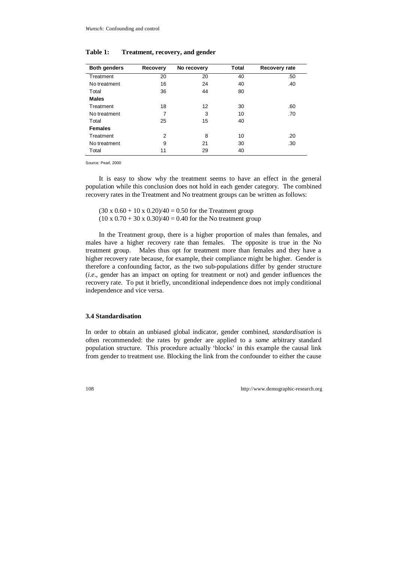| <b>Both genders</b> | <b>Recovery</b> | No recovery | <b>Total</b> | Recovery rate |
|---------------------|-----------------|-------------|--------------|---------------|
| Treatment           | 20              | 20          | 40           | .50           |
| No treatment        | 16              | 24          | 40           | .40           |
| Total               | 36              | 44          | 80           |               |
| <b>Males</b>        |                 |             |              |               |
| Treatment           | 18              | 12          | 30           | .60           |
| No treatment        | 7               | 3           | 10           | .70           |
| Total               | 25              | 15          | 40           |               |
| <b>Females</b>      |                 |             |              |               |
| Treatment           | $\overline{2}$  | 8           | 10           | .20           |
| No treatment        | 9               | 21          | 30           | .30           |
| Total               | 11              | 29          | 40           |               |

#### **Table 1: Treatment, recovery, and gender**

Source: Pearl, 2000

It is easy to show why the treatment seems to have an effect in the general population while this conclusion does not hold in each gender category. The combined recovery rates in the Treatment and No treatment groups can be written as follows:

 $(30 \times 0.60 + 10 \times 0.20)/40 = 0.50$  for the Treatment group

 $(10 \times 0.70 + 30 \times 0.30)/40 = 0.40$  for the No treatment group

In the Treatment group, there is a higher proportion of males than females, and males have a higher recovery rate than females. The opposite is true in the No treatment group. Males thus opt for treatment more than females and they have a higher recovery rate because, for example, their compliance might be higher. Gender is therefore a confounding factor, as the two sub-populations differ by gender structure (*i.e*., gender has an impact on opting for treatment or not) and gender influences the recovery rate. To put it briefly, unconditional independence does not imply conditional independence and vice versa.

#### **3.4 Standardisation**

In order to obtain an unbiased global indicator, gender combined, *standardisation* is often recommended: the rates by gender are applied to a *same* arbitrary standard population structure. This procedure actually 'blocks' in this example the causal link from gender to treatment use. Blocking the link from the confounder to either the cause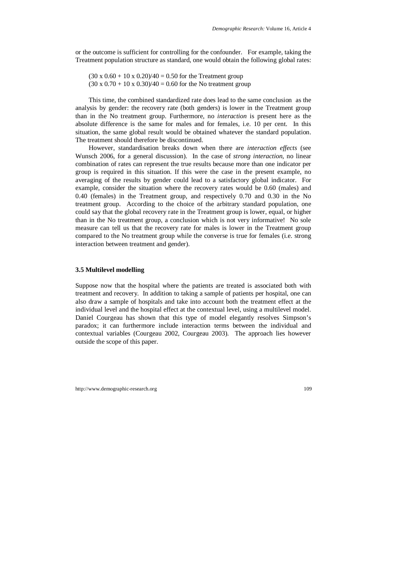or the outcome is sufficient for controlling for the confounder. For example, taking the Treatment population structure as standard, one would obtain the following global rates:

 $(30 \times 0.60 + 10 \times 0.20)/40 = 0.50$  for the Treatment group  $(30 \times 0.70 + 10 \times 0.30)/40 = 0.60$  for the No treatment group

This time, the combined standardized rate does lead to the same conclusion as the analysis by gender: the recovery rate (both genders) is lower in the Treatment group than in the No treatment group. Furthermore, no *interaction* is present here as the absolute difference is the same for males and for females, i.e. 10 per cent. In this situation, the same global result would be obtained whatever the standard population. The treatment should therefore be discontinued.

However, standardisation breaks down when there are *interaction effects* (see Wunsch 2006, for a general discussion). In the case of *strong interaction*, no linear combination of rates can represent the true results because more than one indicator per group is required in this situation. If this were the case in the present example, no averaging of the results by gender could lead to a satisfactory global indicator. For example, consider the situation where the recovery rates would be 0.60 (males) and 0.40 (females) in the Treatment group, and respectively 0.70 and 0.30 in the No treatment group. According to the choice of the arbitrary standard population, one could say that the global recovery rate in the Treatment group is lower, equal, or higher than in the No treatment group, a conclusion which is not very informative! No sole measure can tell us that the recovery rate for males is lower in the Treatment group compared to the No treatment group while the converse is true for females (i.e. strong interaction between treatment and gender).

#### **3.5 Multilevel modelling**

Suppose now that the hospital where the patients are treated is associated both with treatment and recovery. In addition to taking a sample of patients per hospital, one can also draw a sample of hospitals and take into account both the treatment effect at the individual level and the hospital effect at the contextual level, using a multilevel model. Daniel Courgeau has shown that this type of model elegantly resolves Simpson's paradox; it can furthermore include interaction terms between the individual and contextual variables (Courgeau 2002, Courgeau 2003). The approach lies however outside the scope of this paper.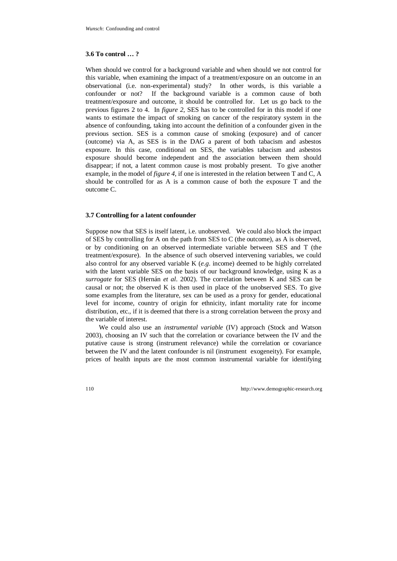### **3.6 To control … ?**

When should we control for a background variable and when should we not control for this variable, when examining the impact of a treatment/exposure on an outcome in an observational (i.e. non-experimental) study? In other words, is this variable a confounder or not? If the background variable is a common cause of both treatment/exposure and outcome, it should be controlled for. Let us go back to the previous figures 2 to 4. In *figure 2*, SES has to be controlled for in this model if one wants to estimate the impact of smoking on cancer of the respiratory system in the absence of confounding, taking into account the definition of a confounder given in the previous section. SES is a common cause of smoking (exposure) and of cancer (outcome) via A, as SES is in the DAG a parent of both tabacism and asbestos exposure. In this case, conditional on SES, the variables tabacism and asbestos exposure should become independent and the association between them should disappear; if not, a latent common cause is most probably present. To give another example, in the model of *figure 4*, if one is interested in the relation between T and C, A should be controlled for as A is a common cause of both the exposure T and the outcome C.

### **3.7 Controlling for a latent confounder**

Suppose now that SES is itself latent, i.e. unobserved. We could also block the impact of SES by controlling for A on the path from SES to C (the outcome), as A is observed, or by conditioning on an observed intermediate variable between SES and T (the treatment/exposure). In the absence of such observed intervening variables, we could also control for any observed variable K (*e.g*. income) deemed to be highly correlated with the latent variable SES on the basis of our background knowledge, using K as a *surrogate* for SES (Hernán *et al*. 2002). The correlation between K and SES can be causal or not; the observed K is then used in place of the unobserved SES. To give some examples from the literature, sex can be used as a proxy for gender, educational level for income, country of origin for ethnicity, infant mortality rate for income distribution, etc., if it is deemed that there is a strong correlation between the proxy and the variable of interest.

We could also use an *instrumental variable* (IV) approach (Stock and Watson 2003), choosing an IV such that the correlation or covariance between the IV and the putative cause is strong (instrument relevance) while the correlation or covariance between the IV and the latent confounder is nil (instrument exogeneity). For example, prices of health inputs are the most common instrumental variable for identifying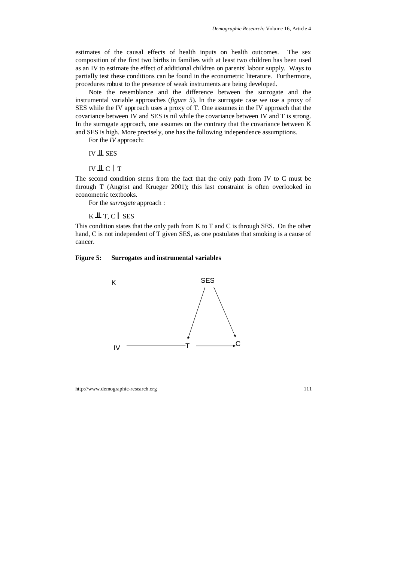estimates of the causal effects of health inputs on health outcomes. The sex composition of the first two births in families with at least two children has been used as an IV to estimate the effect of additional children on parents' labour supply. Ways to partially test these conditions can be found in the econometric literature. Furthermore, procedures robust to the presence of weak instruments are being developed.

Note the resemblance and the difference between the surrogate and the instrumental variable approaches (*figure 5*). In the surrogate case we use a proxy of SES while the IV approach uses a proxy of T. One assumes in the IV approach that the covariance between IV and SES is nil while the covariance between IV and T is strong. In the surrogate approach, one assumes on the contrary that the covariance between K and SES is high. More precisely, one has the following independence assumptions.

For the *IV* approach:

 $IV$   $\perp$  SES

 $IV$  $\perp$  $C$  $\perp$  $T$ 

The second condition stems from the fact that the only path from IV to C must be through T (Angrist and Krueger 2001); this last constraint is often overlooked in econometric textbooks.

For the *surrogate* approach :

### $K \perp\!\!\!\perp$  T, C  $\mid$  SES

This condition states that the only path from K to T and C is through SES. On the other hand, C is not independent of T given SES, as one postulates that smoking is a cause of cancer.

#### **Figure 5: Surrogates and instrumental variables**

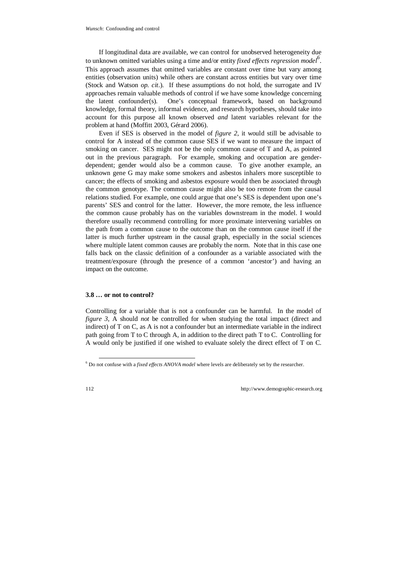If longitudinal data are available, we can control for unobserved heterogeneity due to unknown omitted variables using a time and/or entity *fixed effects regression model*<sup>6</sup>. This approach assumes that omitted variables are constant over time but vary among entities (observation units) while others are constant across entities but vary over time (Stock and Watson *op. cit*.). If these assumptions do not hold, the surrogate and IV approaches remain valuable methods of control if we have some knowledge concerning the latent confounder(s). One's conceptual framework, based on background knowledge, formal theory, informal evidence, and research hypotheses, should take into account for this purpose all known observed *and* latent variables relevant for the problem at hand (Moffitt 2003, Gérard 2006).

Even if SES is observed in the model of *figure 2*, it would still be advisable to control for A instead of the common cause SES if we want to measure the impact of smoking on cancer. SES might not be the only common cause of T and A, as pointed out in the previous paragraph. For example, smoking and occupation are genderdependent; gender would also be a common cause. To give another example, an unknown gene G may make some smokers and asbestos inhalers more susceptible to cancer; the effects of smoking and asbestos exposure would then be associated through the common genotype. The common cause might also be too remote from the causal relations studied. For example, one could argue that one's SES is dependent upon one's parents' SES and control for the latter. However, the more remote, the less influence the common cause probably has on the variables downstream in the model. I would therefore usually recommend controlling for more proximate intervening variables on the path from a common cause to the outcome than on the common cause itself if the latter is much further upstream in the causal graph, especially in the social sciences where multiple latent common causes are probably the norm. Note that in this case one falls back on the classic definition of a confounder as a variable associated with the treatment/exposure (through the presence of a common 'ancestor') and having an impact on the outcome.

### **3.8 … or not to control?**

Controlling for a variable that is not a confounder can be harmful. In the model of *figure 3*, A should *not* be controlled for when studying the total impact (direct and indirect) of T on C, as A is not a confounder but an intermediate variable in the indirect path going from T to C through A, in addition to the direct path T to C. Controlling for A would only be justified if one wished to evaluate solely the direct effect of T on C.

 <sup>6</sup> Do not confuse with a *fixed effects ANOVA model* where levels are deliberately set by the researcher.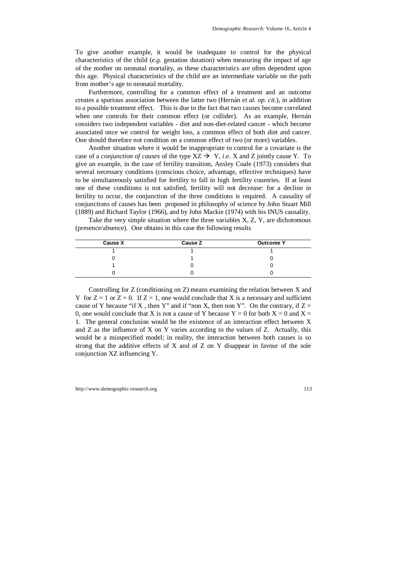To give another example, it would be inadequate to control for the physical characteristics of the child (*e.g.* gestation duration) when measuring the impact of age of the mother on neonatal mortality, as these characteristics are often dependent upon this age. Physical characteristics of the child are an intermediate variable on the path from mother's age to neonatal mortality.

Furthermore, controlling for a common effect of a treatment and an outcome creates a spurious association between the latter two (Hernán *et al. op. cit*.), in addition to a possible treatment effect. This is due to the fact that two causes become correlated when one controls for their common effect (or collider). As an example, Hernán considers two independent variables - diet and non-diet-related cancer - which become associated once we control for weight loss, a common effect of both diet and cancer. One should therefore not condition on a common effect of two (or more) variables.

Another situation where it would be inappropriate to control for a covariate is the case of a *conjunction of causes* of the type  $XZ \rightarrow Y$ , *i.e.* X and Z jointly cause Y. To give an example, in the case of fertility transition, Ansley Coale (1973) considers that several necessary conditions (conscious choice, advantage, effective techniques) have to be simultaneously satisfied for fertility to fall in high fertility countries. If at least one of these conditions is not satisfied, fertility will not decrease: for a decline in fertility to occur, the conjunction of the three conditions is required. A causality of conjunctions of causes has been proposed in philosophy of science by John Stuart Mill (1889) and Richard Taylor (1966), and by John Mackie (1974) with his INUS causality.

Take the very simple situation where the three variables X, Z, Y, are dichotomous (presence/absence). One obtains in this case the following results

| <b>Cause X</b> | <b>Cause Z</b> | <b>Outcome Y</b> |
|----------------|----------------|------------------|
|                |                |                  |
|                |                |                  |
|                |                |                  |
|                |                |                  |

Controlling for Z (conditioning on Z) means examining the relation between X and Y for  $Z = 1$  or  $Z = 0$ . If  $Z = 1$ , one would conclude that X is a necessary and sufficient cause of Y because "if X, then Y" and if "non X, then non Y". On the contrary, if  $Z =$ 0, one would conclude that X is not a cause of Y because  $Y = 0$  for both  $X = 0$  and  $X = 0$ 1. The general conclusion would be the existence of an interaction effect between X and Z as the influence of X on Y varies according to the values of Z. Actually, this would be a misspecified model; in reality, the interaction between both causes is so strong that the additive effects of X and of Z on Y disappear in favour of the sole conjunction XZ influencing Y.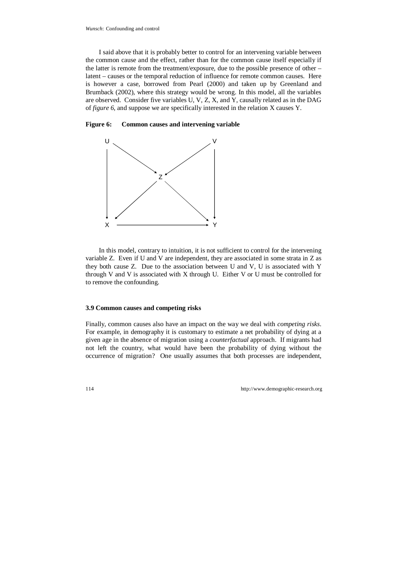I said above that it is probably better to control for an intervening variable between the common cause and the effect, rather than for the common cause itself especially if the latter is remote from the treatment/exposure, due to the possible presence of other – latent – causes or the temporal reduction of influence for remote common causes. Here is however a case, borrowed from Pearl (2000) and taken up by Greenland and Brumback (2002), where this strategy would be wrong. In this model, all the variables are observed. Consider five variables U, V, Z, X, and Y, causally related as in the DAG of *figure 6*, and suppose we are specifically interested in the relation X causes Y.

**Figure 6: Common causes and intervening variable** 



In this model, contrary to intuition, it is not sufficient to control for the intervening variable Z. Even if U and V are independent, they are associated in some strata in Z as they both cause Z. Due to the association between U and V, U is associated with Y through V and V is associated with X through U. Either V or U must be controlled for to remove the confounding.

#### **3.9 Common causes and competing risks**

Finally, common causes also have an impact on the way we deal with *competing risks*. For example, in demography it is customary to estimate a net probability of dying at a given age in the absence of migration using a *counterfactual* approach. If migrants had not left the country, what would have been the probability of dying without the occurrence of migration? One usually assumes that both processes are independent,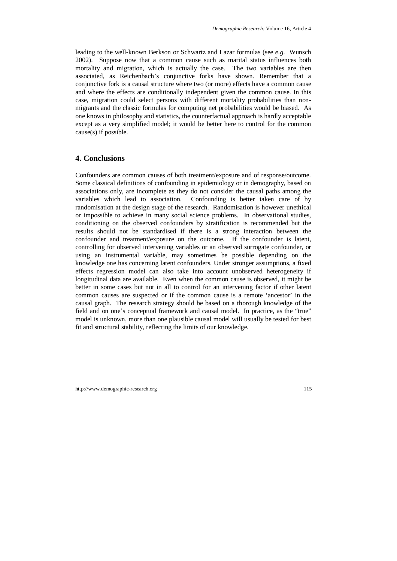leading to the well-known Berkson or Schwartz and Lazar formulas (see *e.g.* Wunsch 2002). Suppose now that a common cause such as marital status influences both mortality and migration, which is actually the case. The two variables are then associated, as Reichenbach's conjunctive forks have shown. Remember that a conjunctive fork is a causal structure where two (or more) effects have a common cause and where the effects are conditionally independent given the common cause. In this case, migration could select persons with different mortality probabilities than nonmigrants and the classic formulas for computing net probabilities would be biased. As one knows in philosophy and statistics, the counterfactual approach is hardly acceptable except as a very simplified model; it would be better here to control for the common cause(s) if possible.

## **4. Conclusions**

Confounders are common causes of both treatment/exposure and of response/outcome. Some classical definitions of confounding in epidemiology or in demography, based on associations only, are incomplete as they do not consider the causal paths among the variables which lead to association. Confounding is better taken care of by randomisation at the design stage of the research. Randomisation is however unethical or impossible to achieve in many social science problems. In observational studies, conditioning on the observed confounders by stratification is recommended but the results should not be standardised if there is a strong interaction between the confounder and treatment/exposure on the outcome. If the confounder is latent, controlling for observed intervening variables or an observed surrogate confounder, or using an instrumental variable, may sometimes be possible depending on the knowledge one has concerning latent confounders. Under stronger assumptions, a fixed effects regression model can also take into account unobserved heterogeneity if longitudinal data are available. Even when the common cause is observed, it might be better in some cases but not in all to control for an intervening factor if other latent common causes are suspected or if the common cause is a remote 'ancestor' in the causal graph. The research strategy should be based on a thorough knowledge of the field and on one's conceptual framework and causal model. In practice, as the "true" model is unknown, more than one plausible causal model will usually be tested for best fit and structural stability, reflecting the limits of our knowledge.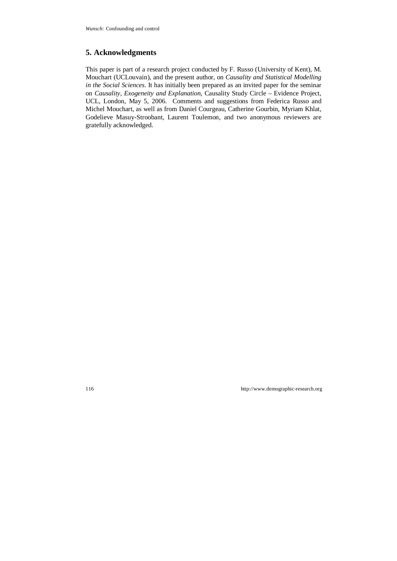## **5. Acknowledgments**

This paper is part of a research project conducted by F. Russo (University of Kent), M. Mouchart (UCLouvain), and the present author, on *Causality and Statistical Modelling in the Social Sciences*. It has initially been prepared as an invited paper for the seminar on *Causality, Exogeneity and Explanation*, Causality Study Circle – Evidence Project, UCL, London, May 5, 2006. Comments and suggestions from Federica Russo and Michel Mouchart, as well as from Daniel Courgeau, Catherine Gourbin, Myriam Khlat, Godelieve Masuy-Stroobant, Laurent Toulemon, and two anonymous reviewers are gratefully acknowledged.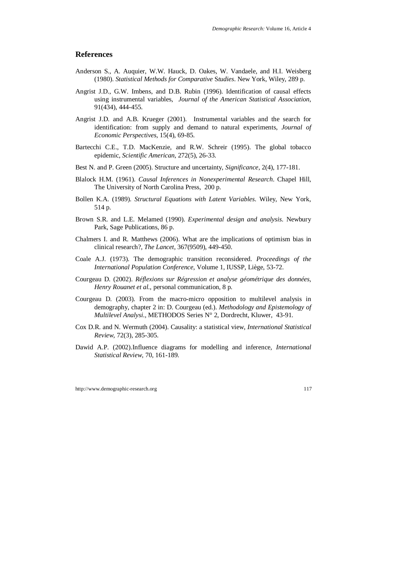### **References**

- Anderson S., A. Auquier, W.W. Hauck, D. Oakes, W. Vandaele, and H.I. Weisberg (1980). *Statistical Methods for Comparative* S*tudies*. New York, Wiley, 289 p.
- Angrist J.D., G.W. Imbens, and D.B. Rubin (1996). Identification of causal effects using instrumental variables, *Journal of the American Statistical Association*, 91(434), 444-455.
- Angrist J.D. and A.B. Krueger (2001). Instrumental variables and the search for identification: from supply and demand to natural experiments, *Journal of Economic Perspectives*, 15(4), 69-85.
- Bartecchi C.E., T.D. MacKenzie, and R.W. Schreir (1995). The global tobacco epidemic, *Scientific American*, 272(5), 26-33.
- Best N. and P. Green (2005). Structure and uncertainty, *Significance*, 2(4), 177-181.
- Blalock H.M. (1961). *Causal Inferences in Nonexperimental Research*. Chapel Hill, The University of North Carolina Press, 200 p.
- Bollen K.A. (1989). *Structural Equations with Latent Variables*. Wiley, New York, 514 p.
- Brown S.R. and L.E. Melamed (1990). *Experimental design and analysis*. Newbury Park, Sage Publications, 86 p.
- Chalmers I. and R. Matthews (2006). What are the implications of optimism bias in clinical research?, *The Lancet*, 367(9509), 449-450.
- Coale A.J. (1973). The demographic transition reconsidered. *Proceedings of the International Population Conference*, Volume 1, IUSSP, Liège, 53-72.
- Courgeau D. (2002). *Réflexions sur Régression et analyse géométrique des données, Henry Rouanet et al.*, personal communication, 8 p.
- Courgeau D. (2003). From the macro-micro opposition to multilevel analysis in demography, chapter 2 in: D. Courgeau (ed.). *Methodology and Epistemology of Multilevel Analysi.,* METHODOS Series N° 2, Dordrecht, Kluwer, 43-91.
- Cox D.R. and N. Wermuth (2004). Causality: a statistical view, *International Statistical Review*, 72(3), 285-305.
- Dawid A.P. (2002).Influence diagrams for modelling and inference, *International Statistical Review*, 70, 161-189.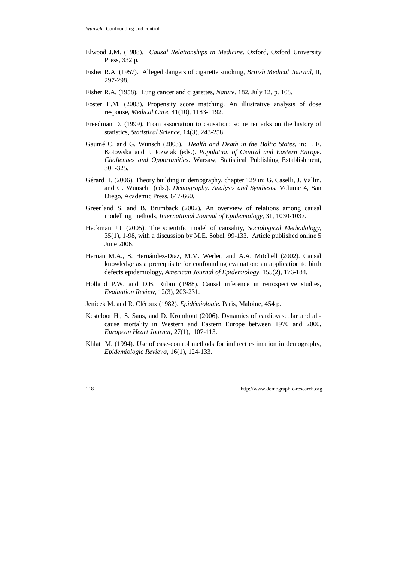- Elwood J.M. (1988). *Causal Relationships in Medicine*. Oxford, Oxford University Press, 332 p.
- Fisher R.A. (1957). Alleged dangers of cigarette smoking, *British Medical Journal*, II, 297-298.
- Fisher R.A. (1958). Lung cancer and cigarettes, *Nature*, 182, July 12, p. 108.
- Foster E.M. (2003). Propensity score matching. An illustrative analysis of dose response, *Medical Care*, 41(10), 1183-1192.
- Freedman D. (1999). From association to causation: some remarks on the history of statistics, *Statistical Science*, 14(3), 243-258.
- Gaumé C. and G. Wunsch (2003). *Health and Death in the Baltic States*, in: I. E. Kotowska and J. Jozwiak (eds.). *Population of Central and Eastern Europe. Challenges and Opportunities*. Warsaw, Statistical Publishing Establishment, 301-325.
- Gérard H. (2006). Theory building in demography, chapter 129 in: G. Caselli, J. Vallin, and G. Wunsch (eds.). *Demography. Analysis and Synthesis*. Volume 4, San Diego, Academic Press, 647-660.
- Greenland S. and B. Brumback (2002). An overview of relations among causal modelling methods, *International Journal of Epidemiology*, 31, 1030-1037.
- Heckman J.J. (2005). The scientific model of causality, *Sociological Methodology*, 35(1), 1-98, with a discussion by M.E. Sobel, 99-133. Article published online 5 June 2006.
- Hernán M.A., S. Hernández-Diaz, M.M. Werler, and A.A. Mitchell (2002). Causal knowledge as a prerequisite for confounding evaluation: an application to birth defects epidemiology, *American Journal of Epidemiology*, 155(2), 176-184.
- Holland P.W. and D.B. Rubin (1988). Causal inference in retrospective studies, *Evaluation Review*, 12(3), 203-231.
- Jenicek M. and R. Cléroux (1982). *Epidémiologie*. Paris, Maloine, 454 p.
- Kesteloot H., S. Sans, and D. Kromhout (2006). Dynamics of cardiovascular and allcause mortality in Western and Eastern Europe between 1970 and 2000**,**  *European Heart Journal*, 27(1), 107-113.
- Khlat M. (1994). Use of case-control methods for indirect estimation in demography, *Epidemiologic Reviews,* 16(1), 124-133.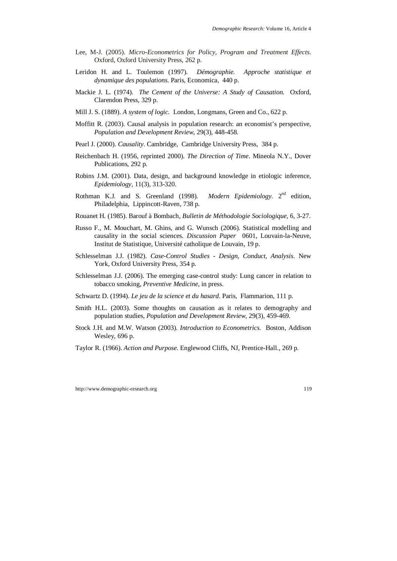- Lee, M-J. (2005). *Micro-Econometrics for Policy, Program and Treatment Effects*. Oxford, Oxford University Press, 262 p.
- Leridon H. and L. Toulemon (1997). *Démographie. Approche statistique et dynamique des populations*. Paris, Economica, 440 p.
- Mackie J. L. (1974). *The Cement of the Universe: A Study of Causation.* Oxford, Clarendon Press, 329 p.
- Mill J. S. (1889). *A system of logic.* London, Longmans, Green and Co., 622 p.
- Moffitt R. (2003). Causal analysis in population research: an economist's perspective, *Population and Development Review*, 29(3), 448-458.
- Pearl J. (2000). *Causality*. Cambridge, Cambridge University Press, 384 p.
- Reichenbach H. (1956, reprinted 2000). *The Direction of Time*. Mineola N.Y., Dover Publications, 292 p.
- Robins J.M. (2001). Data, design, and background knowledge in etiologic inference, *Epidemiology*, 11(3), 313-320.
- Rothman K.J. and S. Greenland (1998). *Modern Epidemiology*. 2nd edition, Philadelphia, Lippincott-Raven, 738 p.
- Rouanet H. (1985). Barouf à Bombach, *Bulletin de Méthodologie Sociologique*, 6, 3-27.
- Russo F., M. Mouchart, M. Ghins, and G. Wunsch (2006). Statistical modelling and causality in the social sciences. *Discussion Paper* 0601, Louvain-la-Neuve, Institut de Statistique, Université catholique de Louvain, 19 p.
- Schlesselman J.J. (1982). *Case-Control Studies Design, Conduct, Analysis*. New York, Oxford University Press, 354 p.
- Schlesselman J.J. (2006). The emerging case-control study: Lung cancer in relation to tobacco smoking, *Preventive Medicine*, in press.
- Schwartz D. (1994). *Le jeu de la science et du hasard*. Paris, Flammarion, 111 p.
- Smith H.L. (2003). Some thoughts on causation as it relates to demography and population studies, *Population and Development Review*, 29(3), 459-469.
- Stock J.H. and M.W. Watson (2003). *Introduction to Econometrics.* Boston, Addison Wesley, 696 p.
- Taylor R. (1966). *Action and Purpose.* Englewood Cliffs, NJ, Prentice-Hall., 269 p.